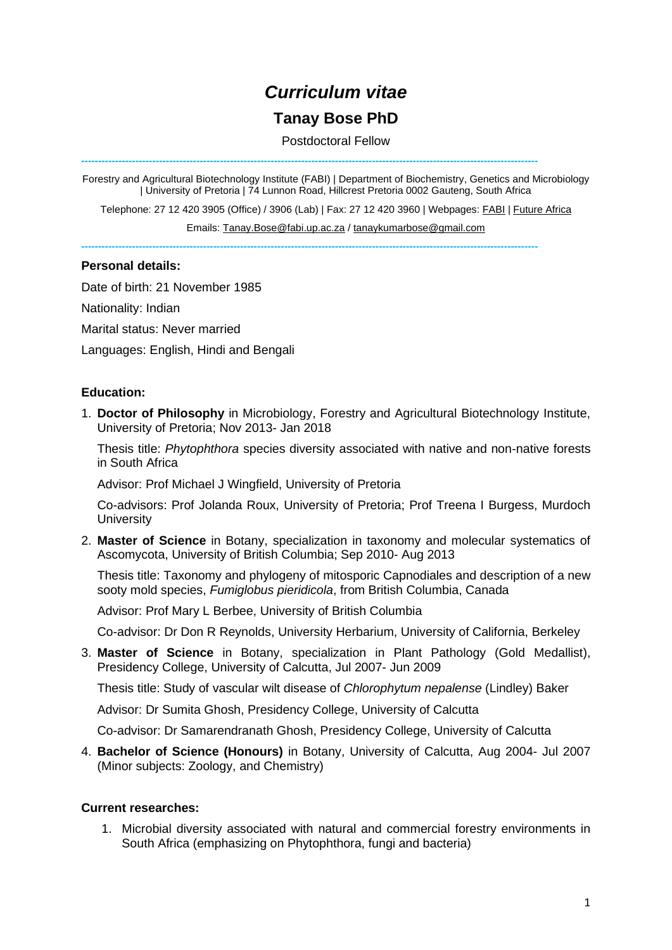# *Curriculum vitae*

## **Tanay Bose PhD**

Postdoctoral Fellow

**---------------------------------------------------------------------------------------------------------------------------------------**

Forestry and Agricultural Biotechnology Institute (FABI) | Department of Biochemistry, Genetics and Microbiology | University of Pretoria | 74 Lunnon Road, Hillcrest Pretoria 0002 Gauteng, South Africa

Telephone: 27 12 420 3905 (Office) / 3906 (Lab) | Fax: 27 12 420 3960 | Webpages[: FABI](https://www.fabinet.up.ac.za/index.php/people-profile?profile=1100) | [Future Africa](http://futureafrica.science/index.php/profile/tanay-bose-224)

Emails: [Tanay.Bose@fabi.up.ac.za](mailto:Tanay.Bose@fabi.up.ac.za) / [tanaykumarbose@gmail.com](mailto:tanaykumarbose@gmail.com)

**---------------------------------------------------------------------------------------------------------------------------------------**

#### **Personal details:**

Date of birth: 21 November 1985

Nationality: Indian

Marital status: Never married

Languages: English, Hindi and Bengali

#### **Education:**

1. **Doctor of Philosophy** in Microbiology, Forestry and Agricultural Biotechnology Institute, University of Pretoria; Nov 2013- Jan 2018

Thesis title: *Phytophthora* species diversity associated with native and non-native forests in South Africa

Advisor: Prof Michael J Wingfield, University of Pretoria

Co-advisors: Prof Jolanda Roux, University of Pretoria; Prof Treena I Burgess, Murdoch **University** 

2. **Master of Science** in Botany, specialization in taxonomy and molecular systematics of Ascomycota, University of British Columbia; Sep 2010- Aug 2013

Thesis title: Taxonomy and phylogeny of mitosporic Capnodiales and description of a new sooty mold species, *Fumiglobus pieridicola*, from British Columbia, Canada

Advisor: Prof Mary L Berbee, University of British Columbia

Co-advisor: Dr Don R Reynolds, University Herbarium, University of California, Berkeley

3. **Master of Science** in Botany, specialization in Plant Pathology (Gold Medallist), Presidency College, University of Calcutta, Jul 2007- Jun 2009

Thesis title: Study of vascular wilt disease of *Chlorophytum nepalense* (Lindley) Baker

Advisor: Dr Sumita Ghosh, Presidency College, University of Calcutta

Co-advisor: Dr Samarendranath Ghosh, Presidency College, University of Calcutta

4. **Bachelor of Science (Honours)** in Botany, University of Calcutta, Aug 2004- Jul 2007 (Minor subjects: Zoology, and Chemistry)

#### **Current researches:**

1. Microbial diversity associated with natural and commercial forestry environments in South Africa (emphasizing on Phytophthora, fungi and bacteria)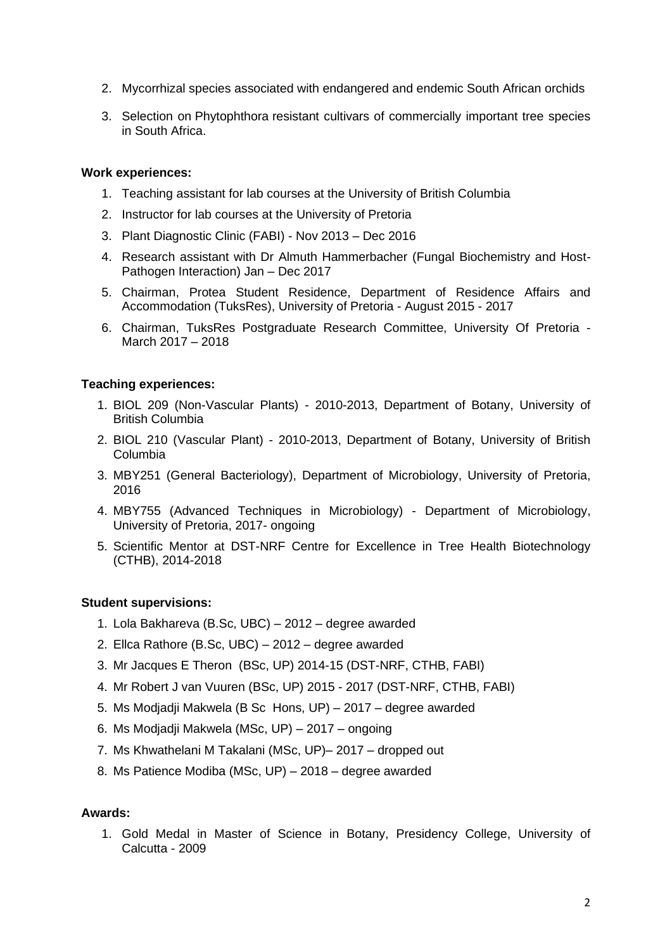- 2. Mycorrhizal species associated with endangered and endemic South African orchids
- 3. Selection on Phytophthora resistant cultivars of commercially important tree species in South Africa.

#### **Work experiences:**

- 1. Teaching assistant for lab courses at the University of British Columbia
- 2. Instructor for lab courses at the University of Pretoria
- 3. Plant Diagnostic Clinic (FABI) Nov 2013 Dec 2016
- 4. Research assistant with Dr Almuth Hammerbacher (Fungal Biochemistry and Host-Pathogen Interaction) Jan – Dec 2017
- 5. Chairman, Protea Student Residence, Department of Residence Affairs and Accommodation (TuksRes), University of Pretoria - August 2015 - 2017
- 6. Chairman, TuksRes Postgraduate Research Committee, University Of Pretoria March 2017 – 2018

#### **Teaching experiences:**

- 1. BIOL 209 (Non-Vascular Plants) 2010-2013, Department of Botany, University of British Columbia
- 2. BIOL 210 (Vascular Plant) 2010-2013, Department of Botany, University of British Columbia
- 3. MBY251 (General Bacteriology), Department of Microbiology, University of Pretoria, 2016
- 4. MBY755 (Advanced Techniques in Microbiology) Department of Microbiology, University of Pretoria, 2017- ongoing
- 5. Scientific Mentor at DST-NRF Centre for Excellence in Tree Health Biotechnology (CTHB), 2014-2018

#### **Student supervisions:**

- 1. Lola Bakhareva (B.Sc, UBC) 2012 degree awarded
- 2. Ellca Rathore (B.Sc, UBC) 2012 degree awarded
- 3. Mr Jacques E Theron (BSc, UP) 2014-15 (DST-NRF, CTHB, FABI)
- 4. Mr Robert J van Vuuren (BSc, UP) 2015 2017 (DST-NRF, CTHB, FABI)
- 5. Ms Modjadji Makwela (B Sc Hons, UP) 2017 degree awarded
- 6. Ms Modjadji Makwela (MSc, UP) 2017 ongoing
- 7. Ms Khwathelani M Takalani (MSc, UP)– 2017 dropped out
- 8. Ms Patience Modiba (MSc, UP) 2018 degree awarded

#### **Awards:**

1. Gold Medal in Master of Science in Botany, Presidency College, University of Calcutta - 2009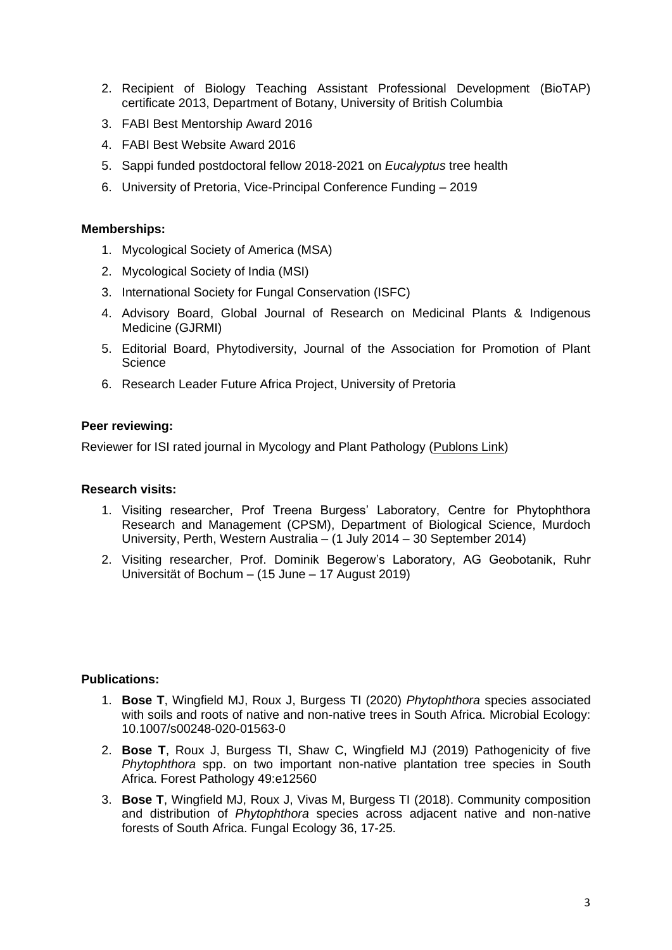- 2. Recipient of Biology Teaching Assistant Professional Development (BioTAP) certificate 2013, Department of Botany, University of British Columbia
- 3. FABI Best Mentorship Award 2016
- 4. FABI Best Website Award 2016
- 5. Sappi funded postdoctoral fellow 2018-2021 on *Eucalyptus* tree health
- 6. University of Pretoria, Vice-Principal Conference Funding 2019

#### **Memberships:**

- 1. Mycological Society of America (MSA)
- 2. Mycological Society of India (MSI)
- 3. International Society for Fungal Conservation (ISFC)
- 4. Advisory Board, Global Journal of Research on Medicinal Plants & Indigenous Medicine (GJRMI)
- 5. Editorial Board, Phytodiversity, Journal of the Association for Promotion of Plant **Science**
- 6. Research Leader Future Africa Project, University of Pretoria

#### **Peer reviewing:**

Reviewer for ISI rated journal in Mycology and Plant Pathology [\(Publons Link\)](https://publons.com/researcher/1623440/tanay-bose/)

#### **Research visits:**

- 1. Visiting researcher, Prof Treena Burgess' Laboratory, Centre for Phytophthora Research and Management (CPSM), Department of Biological Science, Murdoch University, Perth, Western Australia – (1 July 2014 – 30 September 2014)
- 2. Visiting researcher, Prof. Dominik Begerow's Laboratory, AG Geobotanik, Ruhr Universität of Bochum – (15 June – 17 August 2019)

#### **Publications:**

- 1. **Bose T**, Wingfield MJ, Roux J, Burgess TI (2020) *Phytophthora* species associated with soils and roots of native and non-native trees in South Africa. Microbial Ecology: 10.1007/s00248-020-01563-0
- 2. **Bose T**, Roux J, Burgess TI, Shaw C, Wingfield MJ (2019) Pathogenicity of five *Phytophthora* spp. on two important non-native plantation tree species in South Africa. Forest Pathology 49:e12560
- 3. **Bose T**, Wingfield MJ, Roux J, Vivas M, Burgess TI (2018). Community composition and distribution of *Phytophthora* species across adjacent native and non-native forests of South Africa. Fungal Ecology 36, 17-25.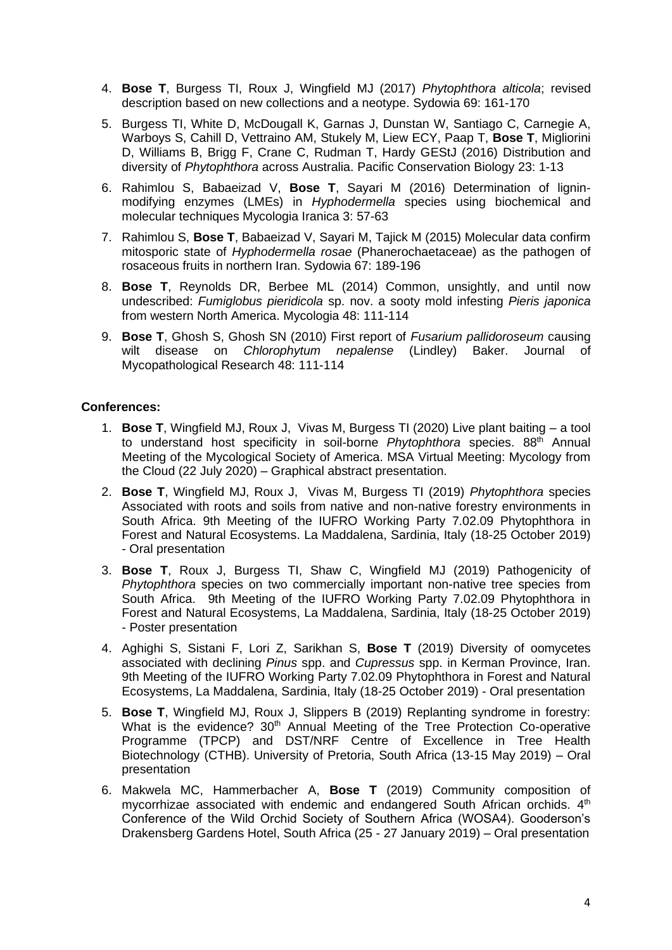- 4. **Bose T**, Burgess TI, Roux J, Wingfield MJ (2017) *Phytophthora alticola*; revised description based on new collections and a neotype. Sydowia 69: 161-170
- 5. Burgess TI, White D, McDougall K, Garnas J, Dunstan W, Santiago C, Carnegie A, Warboys S, Cahill D, Vettraino AM, Stukely M, Liew ECY, Paap T, **Bose T**, Migliorini D, Williams B, Brigg F, Crane C, Rudman T, Hardy GEStJ (2016) Distribution and diversity of *Phytophthora* across Australia. Pacific Conservation Biology 23: 1-13
- 6. Rahimlou S, Babaeizad V, **Bose T**, Sayari M (2016) Determination of ligninmodifying enzymes (LMEs) in *Hyphodermella* species using biochemical and molecular techniques Mycologia Iranica 3: 57-63
- 7. Rahimlou S, **Bose T**, Babaeizad V, Sayari M, Tajick M (2015) Molecular data confirm mitosporic state of *Hyphodermella rosae* (Phanerochaetaceae) as the pathogen of rosaceous fruits in northern Iran. Sydowia 67: 189-196
- 8. **Bose T**, Reynolds DR, Berbee ML (2014) Common, unsightly, and until now undescribed: *Fumiglobus pieridicola* sp. nov. a sooty mold infesting *Pieris japonica* from western North America. Mycologia 48: 111-114
- 9. **Bose T**, Ghosh S, Ghosh SN (2010) First report of *Fusarium pallidoroseum* causing wilt disease on *Chlorophytum nepalense* (Lindley) Baker. Journal of Mycopathological Research 48: 111-114

#### **Conferences:**

- 1. **Bose T**, Wingfield MJ, Roux J, Vivas M, Burgess TI (2020) Live plant baiting a tool to understand host specificity in soil-borne *Phytophthora* species. 88<sup>th</sup> Annual Meeting of the Mycological Society of America. MSA Virtual Meeting: Mycology from the Cloud (22 July 2020) – Graphical abstract presentation.
- 2. **Bose T**, Wingfield MJ, Roux J, Vivas M, Burgess TI (2019) *Phytophthora* species Associated with roots and soils from native and non-native forestry environments in South Africa. 9th Meeting of the IUFRO Working Party 7.02.09 Phytophthora in Forest and Natural Ecosystems. La Maddalena, Sardinia, Italy (18-25 October 2019) - Oral presentation
- 3. **Bose T**, Roux J, Burgess TI, Shaw C, Wingfield MJ (2019) Pathogenicity of *Phytophthora* species on two commercially important non-native tree species from South Africa. 9th Meeting of the IUFRO Working Party 7.02.09 Phytophthora in Forest and Natural Ecosystems, La Maddalena, Sardinia, Italy (18-25 October 2019) - Poster presentation
- 4. Aghighi S, Sistani F, Lori Z, Sarikhan S, **Bose T** (2019) Diversity of oomycetes associated with declining *Pinus* spp. and *Cupressus* spp. in Kerman Province, Iran. 9th Meeting of the IUFRO Working Party 7.02.09 Phytophthora in Forest and Natural Ecosystems, La Maddalena, Sardinia, Italy (18-25 October 2019) - Oral presentation
- 5. **Bose T**, Wingfield MJ, Roux J, Slippers B (2019) Replanting syndrome in forestry: What is the evidence? 30<sup>th</sup> Annual Meeting of the Tree Protection Co-operative Programme (TPCP) and DST/NRF Centre of Excellence in Tree Health Biotechnology (CTHB). University of Pretoria, South Africa (13-15 May 2019) – Oral presentation
- 6. Makwela MC, Hammerbacher A, **Bose T** (2019) Community composition of mycorrhizae associated with endemic and endangered South African orchids. 4<sup>th</sup> Conference of the Wild Orchid Society of Southern Africa (WOSA4). Gooderson's Drakensberg Gardens Hotel, South Africa (25 - 27 January 2019) – Oral presentation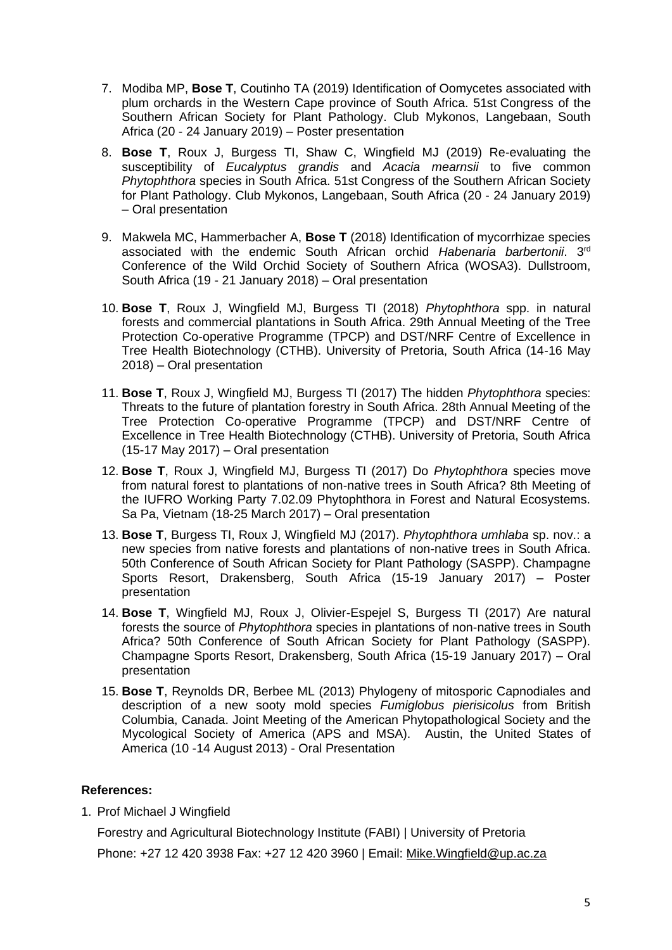- 7. Modiba MP, **Bose T**, Coutinho TA (2019) Identification of Oomycetes associated with plum orchards in the Western Cape province of South Africa. 51st Congress of the Southern African Society for Plant Pathology. Club Mykonos, Langebaan, South Africa (20 - 24 January 2019) – Poster presentation
- 8. **Bose T**, Roux J, Burgess TI, Shaw C, Wingfield MJ (2019) Re-evaluating the susceptibility of *Eucalyptus grandis* and *Acacia mearnsii* to five common *Phytophthora* species in South Africa. 51st Congress of the Southern African Society for Plant Pathology. Club Mykonos, Langebaan, South Africa (20 - 24 January 2019) – Oral presentation
- 9. Makwela MC, Hammerbacher A, **Bose T** (2018) Identification of mycorrhizae species associated with the endemic South African orchid *Habenaria barbertonii*. 3rd Conference of the Wild Orchid Society of Southern Africa (WOSA3). Dullstroom, South Africa (19 - 21 January 2018) – Oral presentation
- 10. **Bose T**, Roux J, Wingfield MJ, Burgess TI (2018) *Phytophthora* spp. in natural forests and commercial plantations in South Africa. 29th Annual Meeting of the Tree Protection Co-operative Programme (TPCP) and DST/NRF Centre of Excellence in Tree Health Biotechnology (CTHB). University of Pretoria, South Africa (14-16 May 2018) – Oral presentation
- 11. **Bose T**, Roux J, Wingfield MJ, Burgess TI (2017) The hidden *Phytophthora* species: Threats to the future of plantation forestry in South Africa. 28th Annual Meeting of the Tree Protection Co-operative Programme (TPCP) and DST/NRF Centre of Excellence in Tree Health Biotechnology (CTHB). University of Pretoria, South Africa (15-17 May 2017) – Oral presentation
- 12. **Bose T**, Roux J, Wingfield MJ, Burgess TI (2017) Do *Phytophthora* species move from natural forest to plantations of non-native trees in South Africa? 8th Meeting of the IUFRO Working Party 7.02.09 Phytophthora in Forest and Natural Ecosystems. Sa Pa, Vietnam (18-25 March 2017) – Oral presentation
- 13. **Bose T**, Burgess TI, Roux J, Wingfield MJ (2017). *Phytophthora umhlaba* sp. nov.: a new species from native forests and plantations of non-native trees in South Africa. 50th Conference of South African Society for Plant Pathology (SASPP). Champagne Sports Resort, Drakensberg, South Africa (15-19 January 2017) – Poster presentation
- 14. **Bose T**, Wingfield MJ, Roux J, Olivier-Espejel S, Burgess TI (2017) Are natural forests the source of *Phytophthora* species in plantations of non-native trees in South Africa? 50th Conference of South African Society for Plant Pathology (SASPP). Champagne Sports Resort, Drakensberg, South Africa (15-19 January 2017) – Oral presentation
- 15. **Bose T**, Reynolds DR, Berbee ML (2013) Phylogeny of mitosporic Capnodiales and description of a new sooty mold species *Fumiglobus pierisicolus* from British Columbia, Canada. Joint Meeting of the American Phytopathological Society and the Mycological Society of America (APS and MSA). Austin, the United States of America (10 -14 August 2013) - Oral Presentation

#### **References:**

1. Prof Michael J Wingfield

Forestry and Agricultural Biotechnology Institute (FABI) | University of Pretoria

Phone: +27 12 420 3938 Fax: +27 12 420 3960 | Email: [Mike.Wingfield@up.ac.za](mailto:Mike.Wingfield@up.ac.za)